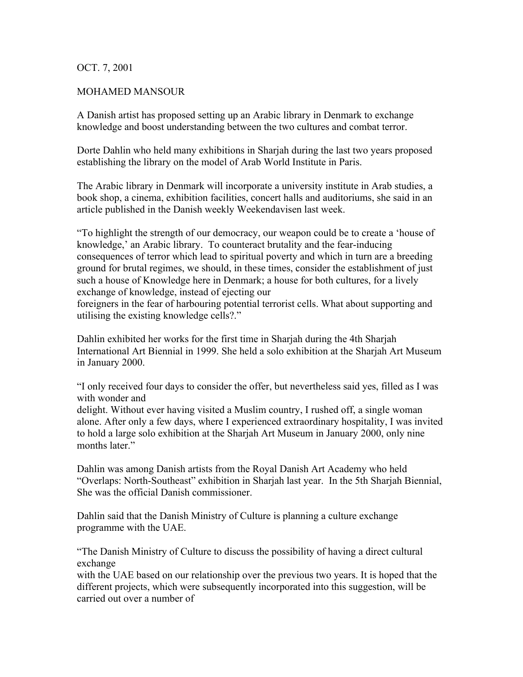## OCT. 7, 2001

## MOHAMED MANSOUR

A Danish artist has proposed setting up an Arabic library in Denmark to exchange knowledge and boost understanding between the two cultures and combat terror.

Dorte Dahlin who held many exhibitions in Sharjah during the last two years proposed establishing the library on the model of Arab World Institute in Paris.

The Arabic library in Denmark will incorporate a university institute in Arab studies, a book shop, a cinema, exhibition facilities, concert halls and auditoriums, she said in an article published in the Danish weekly Weekendavisen last week.

"To highlight the strength of our democracy, our weapon could be to create a 'house of knowledge,' an Arabic library. To counteract brutality and the fear-inducing consequences of terror which lead to spiritual poverty and which in turn are a breeding ground for brutal regimes, we should, in these times, consider the establishment of just such a house of Knowledge here in Denmark; a house for both cultures, for a lively exchange of knowledge, instead of ejecting our

foreigners in the fear of harbouring potential terrorist cells. What about supporting and utilising the existing knowledge cells?."

Dahlin exhibited her works for the first time in Sharjah during the 4th Sharjah International Art Biennial in 1999. She held a solo exhibition at the Sharjah Art Museum in January 2000.

"I only received four days to consider the offer, but nevertheless said yes, filled as I was with wonder and

delight. Without ever having visited a Muslim country, I rushed off, a single woman alone. After only a few days, where I experienced extraordinary hospitality, I was invited to hold a large solo exhibition at the Sharjah Art Museum in January 2000, only nine months later."

Dahlin was among Danish artists from the Royal Danish Art Academy who held "Overlaps: North-Southeast" exhibition in Sharjah last year. In the 5th Sharjah Biennial, She was the official Danish commissioner.

Dahlin said that the Danish Ministry of Culture is planning a culture exchange programme with the UAE.

"The Danish Ministry of Culture to discuss the possibility of having a direct cultural exchange

with the UAE based on our relationship over the previous two years. It is hoped that the different projects, which were subsequently incorporated into this suggestion, will be carried out over a number of